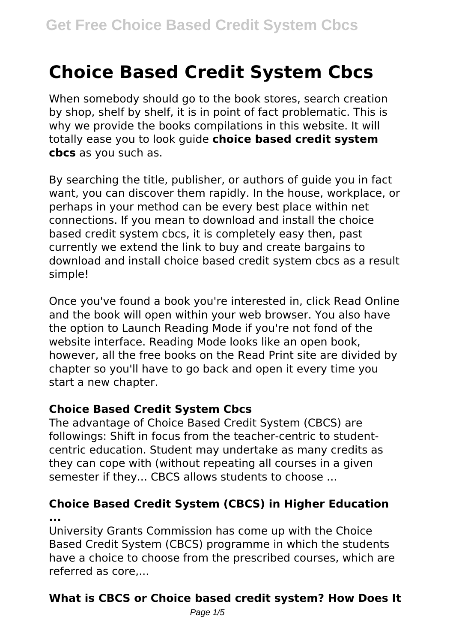# **Choice Based Credit System Cbcs**

When somebody should go to the book stores, search creation by shop, shelf by shelf, it is in point of fact problematic. This is why we provide the books compilations in this website. It will totally ease you to look guide **choice based credit system cbcs** as you such as.

By searching the title, publisher, or authors of guide you in fact want, you can discover them rapidly. In the house, workplace, or perhaps in your method can be every best place within net connections. If you mean to download and install the choice based credit system cbcs, it is completely easy then, past currently we extend the link to buy and create bargains to download and install choice based credit system cbcs as a result simple!

Once you've found a book you're interested in, click Read Online and the book will open within your web browser. You also have the option to Launch Reading Mode if you're not fond of the website interface. Reading Mode looks like an open book, however, all the free books on the Read Print site are divided by chapter so you'll have to go back and open it every time you start a new chapter.

#### **Choice Based Credit System Cbcs**

The advantage of Choice Based Credit System (CBCS) are followings: Shift in focus from the teacher-centric to studentcentric education. Student may undertake as many credits as they can cope with (without repeating all courses in a given semester if they... CBCS allows students to choose ...

### **Choice Based Credit System (CBCS) in Higher Education ...**

University Grants Commission has come up with the Choice Based Credit System (CBCS) programme in which the students have a choice to choose from the prescribed courses, which are referred as core,...

# **What is CBCS or Choice based credit system? How Does It**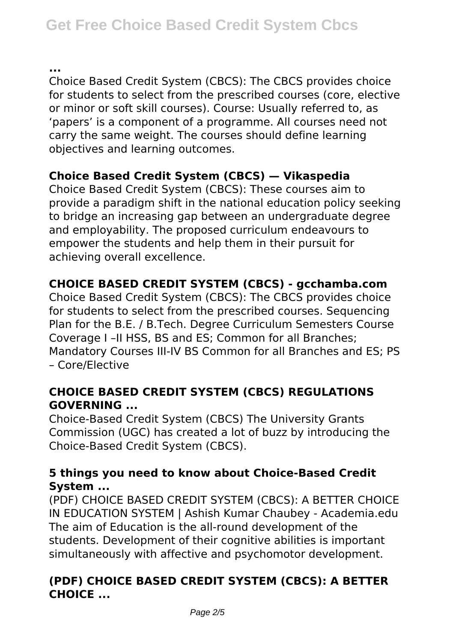**...**

Choice Based Credit System (CBCS): The CBCS provides choice for students to select from the prescribed courses (core, elective or minor or soft skill courses). Course: Usually referred to, as 'papers' is a component of a programme. All courses need not carry the same weight. The courses should define learning objectives and learning outcomes.

# **Choice Based Credit System (CBCS) — Vikaspedia**

Choice Based Credit System (CBCS): These courses aim to provide a paradigm shift in the national education policy seeking to bridge an increasing gap between an undergraduate degree and employability. The proposed curriculum endeavours to empower the students and help them in their pursuit for achieving overall excellence.

# **CHOICE BASED CREDIT SYSTEM (CBCS) - gcchamba.com**

Choice Based Credit System (CBCS): The CBCS provides choice for students to select from the prescribed courses. Sequencing Plan for the B.E. / B.Tech. Degree Curriculum Semesters Course Coverage I –II HSS, BS and ES; Common for all Branches; Mandatory Courses III-IV BS Common for all Branches and ES; PS – Core/Elective

### **CHOICE BASED CREDIT SYSTEM (CBCS) REGULATIONS GOVERNING ...**

Choice-Based Credit System (CBCS) The University Grants Commission (UGC) has created a lot of buzz by introducing the Choice-Based Credit System (CBCS).

### **5 things you need to know about Choice-Based Credit System ...**

(PDF) CHOICE BASED CREDIT SYSTEM (CBCS): A BETTER CHOICE IN EDUCATION SYSTEM | Ashish Kumar Chaubey - Academia.edu The aim of Education is the all-round development of the students. Development of their cognitive abilities is important simultaneously with affective and psychomotor development.

# **(PDF) CHOICE BASED CREDIT SYSTEM (CBCS): A BETTER CHOICE ...**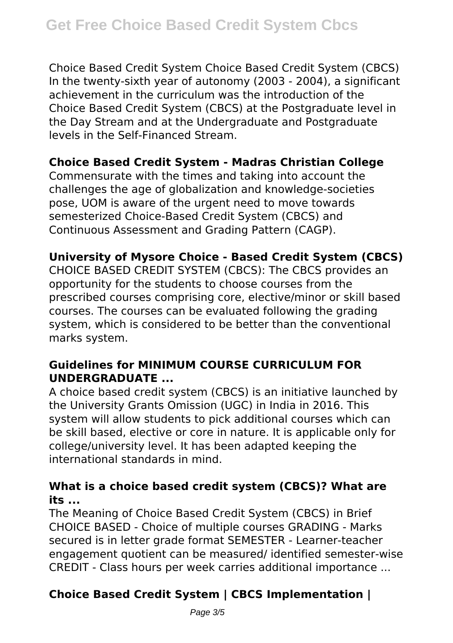Choice Based Credit System Choice Based Credit System (CBCS) In the twenty-sixth year of autonomy (2003 - 2004), a significant achievement in the curriculum was the introduction of the Choice Based Credit System (CBCS) at the Postgraduate level in the Day Stream and at the Undergraduate and Postgraduate levels in the Self-Financed Stream.

#### **Choice Based Credit System - Madras Christian College**

Commensurate with the times and taking into account the challenges the age of globalization and knowledge-societies pose, UOM is aware of the urgent need to move towards semesterized Choice-Based Credit System (CBCS) and Continuous Assessment and Grading Pattern (CAGP).

### **University of Mysore Choice - Based Credit System (CBCS)**

CHOICE BASED CREDIT SYSTEM (CBCS): The CBCS provides an opportunity for the students to choose courses from the prescribed courses comprising core, elective/minor or skill based courses. The courses can be evaluated following the grading system, which is considered to be better than the conventional marks system.

## **Guidelines for MINIMUM COURSE CURRICULUM FOR UNDERGRADUATE ...**

A choice based credit system (CBCS) is an initiative launched by the University Grants Omission (UGC) in India in 2016. This system will allow students to pick additional courses which can be skill based, elective or core in nature. It is applicable only for college/university level. It has been adapted keeping the international standards in mind.

### **What is a choice based credit system (CBCS)? What are its ...**

The Meaning of Choice Based Credit System (CBCS) in Brief CHOICE BASED - Choice of multiple courses GRADING - Marks secured is in letter grade format SEMESTER - Learner-teacher engagement quotient can be measured/ identified semester-wise CREDIT - Class hours per week carries additional importance ...

# **Choice Based Credit System | CBCS Implementation |**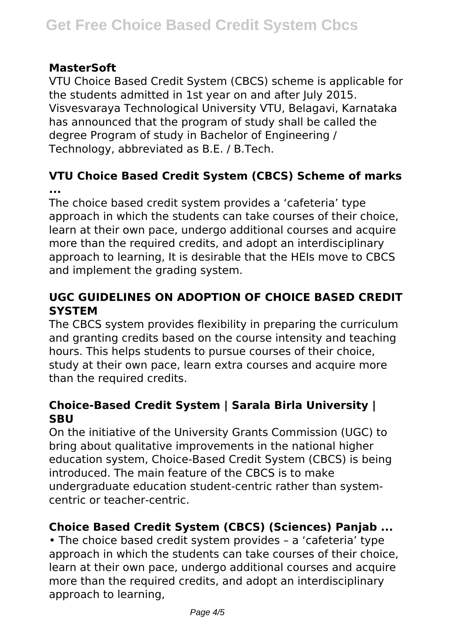#### **MasterSoft**

VTU Choice Based Credit System (CBCS) scheme is applicable for the students admitted in 1st year on and after July 2015. Visvesvaraya Technological University VTU, Belagavi, Karnataka has announced that the program of study shall be called the degree Program of study in Bachelor of Engineering / Technology, abbreviated as B.E. / B.Tech.

### **VTU Choice Based Credit System (CBCS) Scheme of marks ...**

The choice based credit system provides a 'cafeteria' type approach in which the students can take courses of their choice, learn at their own pace, undergo additional courses and acquire more than the required credits, and adopt an interdisciplinary approach to learning, It is desirable that the HEIs move to CBCS and implement the grading system.

## **UGC GUIDELINES ON ADOPTION OF CHOICE BASED CREDIT SYSTEM**

The CBCS system provides flexibility in preparing the curriculum and granting credits based on the course intensity and teaching hours. This helps students to pursue courses of their choice, study at their own pace, learn extra courses and acquire more than the required credits.

### **Choice-Based Credit System | Sarala Birla University | SBU**

On the initiative of the University Grants Commission (UGC) to bring about qualitative improvements in the national higher education system, Choice-Based Credit System (CBCS) is being introduced. The main feature of the CBCS is to make undergraduate education student-centric rather than systemcentric or teacher-centric.

# **Choice Based Credit System (CBCS) (Sciences) Panjab ...**

• The choice based credit system provides – a 'cafeteria' type approach in which the students can take courses of their choice, learn at their own pace, undergo additional courses and acquire more than the required credits, and adopt an interdisciplinary approach to learning,